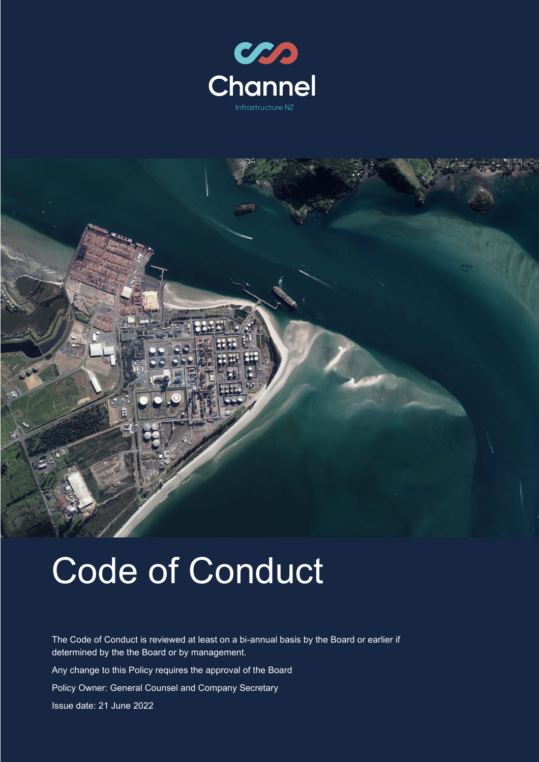



# Code of Conduct

The Code of Conduct is reviewed at least on a bi-annual basis by the Board or earlier if determined by the the Board or by management. Any change to this Policy requires the approval of the Board Policy Owner: General Counsel and Company Secretary Issue date: 21 June 2022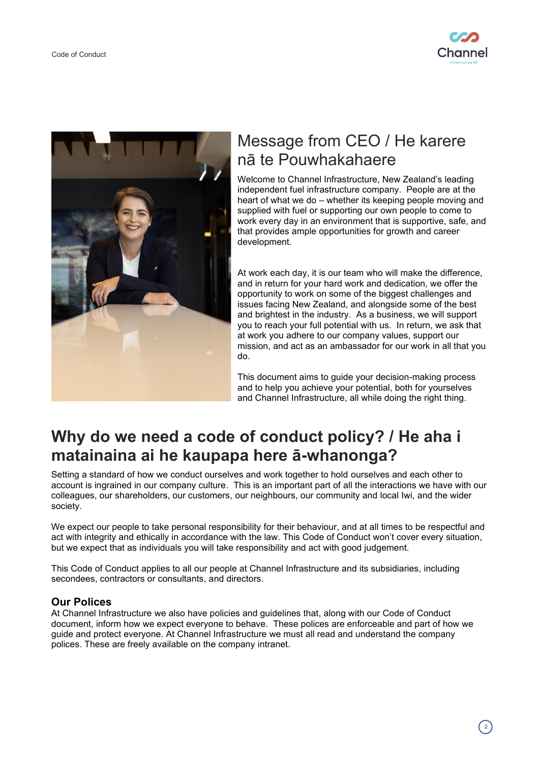



# Message from CEO / He karere nā te Pouwhakahaere

Welcome to Channel Infrastructure, New Zealand's leading independent fuel infrastructure company. People are at the heart of what we do – whether its keeping people moving and supplied with fuel or supporting our own people to come to work every day in an environment that is supportive, safe, and that provides ample opportunities for growth and career development.

At work each day, it is our team who will make the difference, and in return for your hard work and dedication, we offer the opportunity to work on some of the biggest challenges and issues facing New Zealand, and alongside some of the best and brightest in the industry. As a business, we will support you to reach your full potential with us. In return, we ask that at work you adhere to our company values, support our mission, and act as an ambassador for our work in all that you do.

This document aims to guide your decision-making process and to help you achieve your potential, both for yourselves and Channel Infrastructure, all while doing the right thing.

# **Why do we need a code of conduct policy? / He aha i matainaina ai he kaupapa here ā-whanonga?**

Setting a standard of how we conduct ourselves and work together to hold ourselves and each other to account is ingrained in our company culture. This is an important part of all the interactions we have with our colleagues, our shareholders, our customers, our neighbours, our community and local Iwi, and the wider society.

We expect our people to take personal responsibility for their behaviour, and at all times to be respectful and act with integrity and ethically in accordance with the law. This Code of Conduct won't cover every situation, but we expect that as individuals you will take responsibility and act with good judgement.

This Code of Conduct applies to all our people at Channel Infrastructure and its subsidiaries, including secondees, contractors or consultants, and directors.

# **Our Polices**

At Channel Infrastructure we also have policies and guidelines that, along with our Code of Conduct document, inform how we expect everyone to behave. These polices are enforceable and part of how we guide and protect everyone. At Channel Infrastructure we must all read and understand the company polices. These are freely available on the company intranet.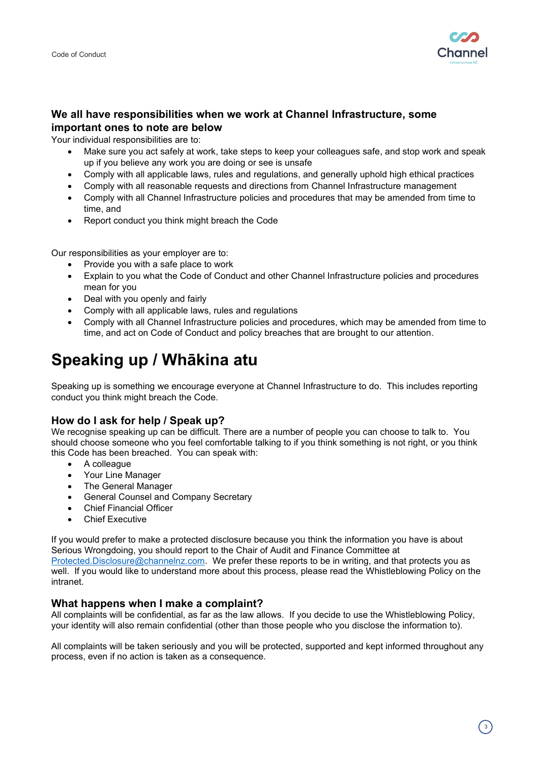

# **We all have responsibilities when we work at Channel Infrastructure, some important ones to note are below**

Your individual responsibilities are to:

- Make sure you act safely at work, take steps to keep your colleagues safe, and stop work and speak up if you believe any work you are doing or see is unsafe
- Comply with all applicable laws, rules and regulations, and generally uphold high ethical practices
- Comply with all reasonable requests and directions from Channel Infrastructure management
- Comply with all Channel Infrastructure policies and procedures that may be amended from time to time, and
- Report conduct you think might breach the Code

Our responsibilities as your employer are to:

- Provide you with a safe place to work
- Explain to you what the Code of Conduct and other Channel Infrastructure policies and procedures mean for you
- Deal with you openly and fairly
- Comply with all applicable laws, rules and regulations
- Comply with all Channel Infrastructure policies and procedures, which may be amended from time to time, and act on Code of Conduct and policy breaches that are brought to our attention.

# **Speaking up / Whākina atu**

Speaking up is something we encourage everyone at Channel Infrastructure to do. This includes reporting conduct you think might breach the Code.

## **How do I ask for help / Speak up?**

We recognise speaking up can be difficult. There are a number of people you can choose to talk to. You should choose someone who you feel comfortable talking to if you think something is not right, or you think this Code has been breached. You can speak with:

- A colleague
- Your Line Manager
- The General Manager
- General Counsel and Company Secretary
- Chief Financial Officer
- **Chief Executive**

If you would prefer to make a protected disclosure because you think the information you have is about Serious Wrongdoing, you should report to the Chair of Audit and Finance Committee at [Protected.Disclosure@channelnz.com.](mailto:Protected.Disclosure@channelnz.com) We prefer these reports to be in writing, and that protects you as well. If you would like to understand more about this process, please read the Whistleblowing Policy on the intranet.

#### **What happens when I make a complaint?**

All complaints will be confidential, as far as the law allows. If you decide to use the Whistleblowing Policy, your identity will also remain confidential (other than those people who you disclose the information to).

All complaints will be taken seriously and you will be protected, supported and kept informed throughout any process, even if no action is taken as a consequence.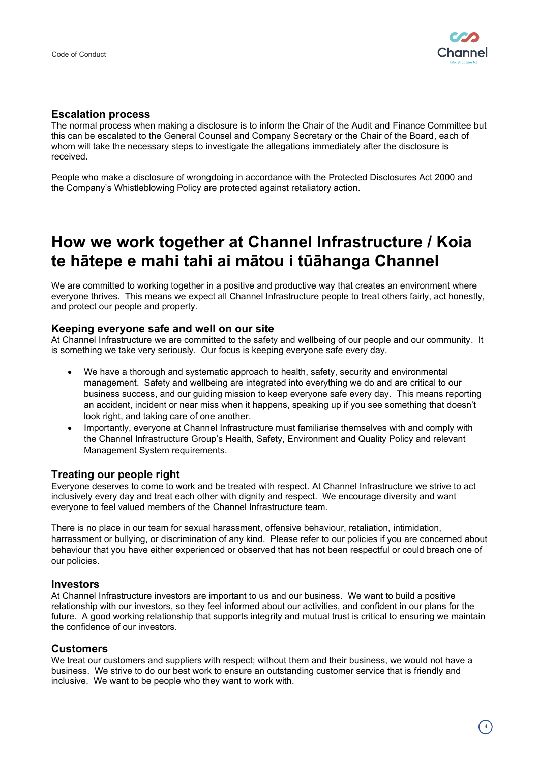

#### **Escalation process**

The normal process when making a disclosure is to inform the Chair of the Audit and Finance Committee but this can be escalated to the General Counsel and Company Secretary or the Chair of the Board, each of whom will take the necessary steps to investigate the allegations immediately after the disclosure is received.

People who make a disclosure of wrongdoing in accordance with the Protected Disclosures Act 2000 and the Company's Whistleblowing Policy are protected against retaliatory action.

# **How we work together at Channel Infrastructure / Koia te hātepe e mahi tahi ai mātou i tūāhanga Channel**

We are committed to working together in a positive and productive way that creates an environment where everyone thrives. This means we expect all Channel Infrastructure people to treat others fairly, act honestly, and protect our people and property.

#### **Keeping everyone safe and well on our site**

At Channel Infrastructure we are committed to the safety and wellbeing of our people and our community. It is something we take very seriously. Our focus is keeping everyone safe every day.

- We have a thorough and systematic approach to health, safety, security and environmental management. Safety and wellbeing are integrated into everything we do and are critical to our business success, and our guiding mission to keep everyone safe every day. This means reporting an accident, incident or near miss when it happens, speaking up if you see something that doesn't look right, and taking care of one another.
- Importantly, everyone at Channel Infrastructure must familiarise themselves with and comply with the Channel Infrastructure Group's Health, Safety, Environment and Quality Policy and relevant Management System requirements.

## **Treating our people right**

Everyone deserves to come to work and be treated with respect. At Channel Infrastructure we strive to act inclusively every day and treat each other with dignity and respect. We encourage diversity and want everyone to feel valued members of the Channel Infrastructure team.

There is no place in our team for sexual harassment, offensive behaviour, retaliation, intimidation, harrassment or bullying, or discrimination of any kind. Please refer to our policies if you are concerned about behaviour that you have either experienced or observed that has not been respectful or could breach one of our policies.

#### **Investors**

At Channel Infrastructure investors are important to us and our business. We want to build a positive relationship with our investors, so they feel informed about our activities, and confident in our plans for the future. A good working relationship that supports integrity and mutual trust is critical to ensuring we maintain the confidence of our investors.

#### **Customers**

We treat our customers and suppliers with respect; without them and their business, we would not have a business. We strive to do our best work to ensure an outstanding customer service that is friendly and inclusive. We want to be people who they want to work with.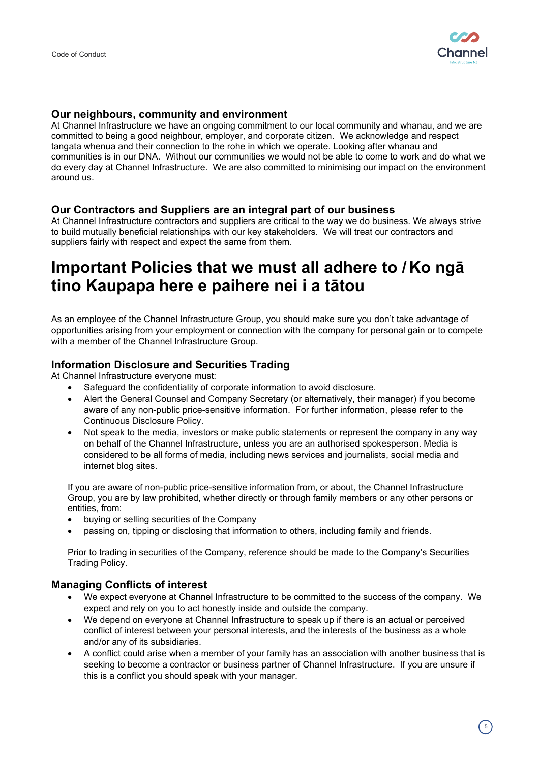

#### **Our neighbours, community and environment**

At Channel Infrastructure we have an ongoing commitment to our local community and whanau, and we are committed to being a good neighbour, employer, and corporate citizen. We acknowledge and respect tangata whenua and their connection to the rohe in which we operate. Looking after whanau and communities is in our DNA. Without our communities we would not be able to come to work and do what we do every day at Channel Infrastructure. We are also committed to minimising our impact on the environment around us.

## **Our Contractors and Suppliers are an integral part of our business**

At Channel Infrastructure contractors and suppliers are critical to the way we do business. We always strive to build mutually beneficial relationships with our key stakeholders. We will treat our contractors and suppliers fairly with respect and expect the same from them.

# **Important Policies that we must all adhere to / Ko ngā tino Kaupapa here e paihere nei i a tātou**

As an employee of the Channel Infrastructure Group, you should make sure you don't take advantage of opportunities arising from your employment or connection with the company for personal gain or to compete with a member of the Channel Infrastructure Group.

## **Information Disclosure and Securities Trading**

At Channel Infrastructure everyone must:

- Safeguard the confidentiality of corporate information to avoid disclosure.
- Alert the General Counsel and Company Secretary (or alternatively, their manager) if you become aware of any non-public price-sensitive information. For further information, please refer to the Continuous Disclosure Policy.
- Not speak to the media, investors or make public statements or represent the company in any way on behalf of the Channel Infrastructure, unless you are an authorised spokesperson. Media is considered to be all forms of media, including news services and journalists, social media and internet blog sites.

If you are aware of non-public price-sensitive information from, or about, the Channel Infrastructure Group, you are by law prohibited, whether directly or through family members or any other persons or entities, from:

- buying or selling securities of the Company
- passing on, tipping or disclosing that information to others, including family and friends.

Prior to trading in securities of the Company, reference should be made to the Company's Securities Trading Policy.

## **Managing Conflicts of interest**

- We expect everyone at Channel Infrastructure to be committed to the success of the company. We expect and rely on you to act honestly inside and outside the company.
- We depend on everyone at Channel Infrastructure to speak up if there is an actual or perceived conflict of interest between your personal interests, and the interests of the business as a whole and/or any of its subsidiaries.
- A conflict could arise when a member of your family has an association with another business that is seeking to become a contractor or business partner of Channel Infrastructure. If you are unsure if this is a conflict you should speak with your manager.